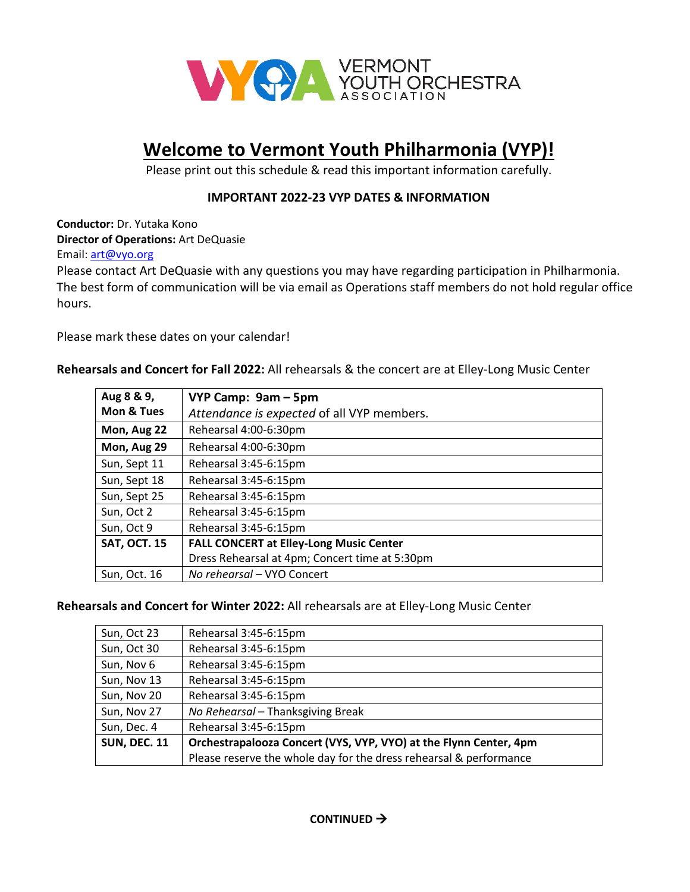

## **Welcome to Vermont Youth Philharmonia (VYP)!**

Please print out this schedule & read this important information carefully.

## **IMPORTANT 2022-23 VYP DATES & INFORMATION**

**Conductor:** Dr. Yutaka Kono **Director of Operations:** Art DeQuasie

Email: [art@vyo.org](mailto:art@vyo.org)

Please contac[t Art](mailto:mia@vyo.org) DeQuasie with any questions you may have regarding participation in Philharmonia. The best form of communication will be via email as Operations staff members do not hold regular office hours.

Please mark these dates on your calendar!

## **Rehearsals and Concert for Fall 2022:** All rehearsals & the concert are at Elley-Long Music Center

| Aug 8 & 9,          | VYP Camp: 9am - 5pm                            |
|---------------------|------------------------------------------------|
| Mon & Tues          | Attendance is expected of all VYP members.     |
| Mon, Aug 22         | Rehearsal 4:00-6:30pm                          |
| Mon, Aug 29         | Rehearsal 4:00-6:30pm                          |
| Sun, Sept 11        | Rehearsal 3:45-6:15pm                          |
| Sun, Sept 18        | Rehearsal 3:45-6:15pm                          |
| Sun, Sept 25        | Rehearsal 3:45-6:15pm                          |
| Sun, Oct 2          | Rehearsal 3:45-6:15pm                          |
| Sun, Oct 9          | Rehearsal 3:45-6:15pm                          |
| <b>SAT, OCT. 15</b> | <b>FALL CONCERT at Elley-Long Music Center</b> |
|                     | Dress Rehearsal at 4pm; Concert time at 5:30pm |
| Sun. Oct. 16        | No rehearsal - VYO Concert                     |

## **Rehearsals and Concert for Winter 2022:** All rehearsals are at Elley-Long Music Center

| Sun, Oct 23         | Rehearsal 3:45-6:15pm                                              |
|---------------------|--------------------------------------------------------------------|
|                     |                                                                    |
| Sun, Oct 30         | Rehearsal 3:45-6:15pm                                              |
| Sun, Nov 6          | Rehearsal 3:45-6:15pm                                              |
| Sun, Nov 13         | Rehearsal 3:45-6:15pm                                              |
| Sun, Nov 20         | Rehearsal 3:45-6:15pm                                              |
| Sun, Nov 27         | No Rehearsal - Thanksgiving Break                                  |
| Sun, Dec. 4         | Rehearsal 3:45-6:15pm                                              |
| <b>SUN, DEC. 11</b> | Orchestrapalooza Concert (VYS, VYP, VYO) at the Flynn Center, 4pm  |
|                     | Please reserve the whole day for the dress rehearsal & performance |